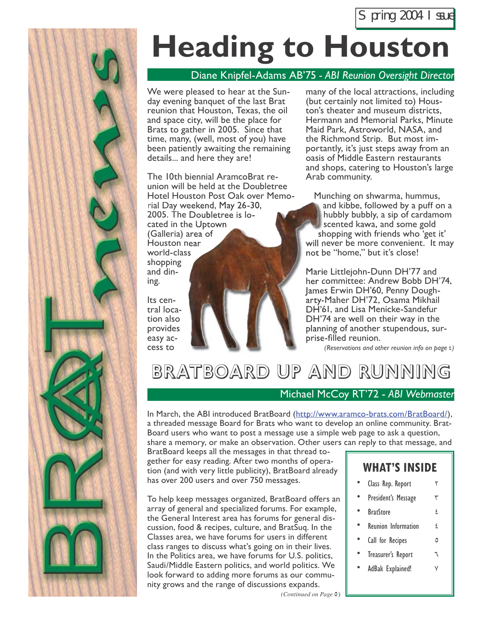

# **Heading to Houston**

#### Diane Knipfel-Adams AB'75 *- ABI Reunion Oversight Director*

We were pleased to hear at the Sunday evening banquet of the last Brat reunion that Houston, Texas, the oil and space city, will be the place for Brats to gather in 2005. Since that time, many, (well, most of you) have been patiently awaiting the remaining details... and here they are!

The 10th biennial AramcoBrat reunion will be held at the Doubletree Hotel Houston Post Oak over Memorial Day weekend, May 26-30, 2005. The Doubletree is located in the Uptown (Galleria) area of Houston near world-class shopping and din-

Its central location also provides easy access to

ing.

many of the local attractions, including (but certainly not limited to) Houston's theater and museum districts, Hermann and Memorial Parks, Minute Maid Park, Astroworld, NASA, and the Richmond Strip. But most importantly, it's just steps away from an oasis of Middle Eastern restaurants and shops, catering to Houston's large Arab community.

Munching on shwarma, hummus, and kibbe, followed by a puff on a hubbly bubbly, a sip of cardamom scented kawa, and some gold shopping with friends who 'get it' will never be more convenient. It may not be "home," but it's close!

Marie Littlejohn-Dunn DH'77 and her committee: Andrew Bobb DH'74, James Erwin DH'60, Penny Dougharty-Maher DH'72, Osama Mikhail DH'61, and Lisa Menicke-Sandefur DH'74 are well on their way in the planning of another stupendous, surprise-filled reunion.

*(Reservations and other reunion info on page* 4*)*

## BRATBOARD UP AND RUNNING

#### Michael McCoy RT'72 - *ABI Webmaster*

In March, the ABI introduced BratBoard (http://www.aramco-brats.com/BratBoard/), a threaded message Board for Brats who want to develop an online community. Brat-Board users who want to post a message use a simple web page to ask a question,

share a memory, or make an observation. Other users can reply to that message, and

BratBoard keeps all the messages in that thread together for easy reading. After two months of operation (and with very little publicity), BratBoard already has over 200 users and over 750 messages.

To help keep messages organized, BratBoard offers an array of general and specialized forums. For example, the General Interest area has forums for general discussion, food & recipes, culture, and BratSuq. In the Classes area, we have forums for users in different class ranges to discuss what's going on in their lives. In the Politics area, we have forums for U.S. politics, Saudi/Middle Eastern politics, and world politics. We look forward to adding more forums as our community grows and the range of discussions expands.

#### **WHAT'S INSIDE**

- Class Rep. Report
- President's Message  $\forall$
- **BratStore 4**
- Reunion Information  $\epsilon$
- Call for Recipes 6
- Treasurer's Report  $\sigma$
- AdBak Explained!  $V$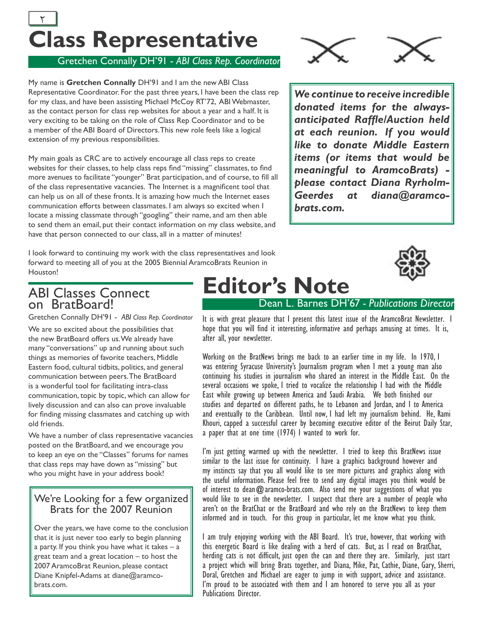## **Class Representative**  $\frac{1}{2}$  3  $\frac{1}{2}$  3  $\frac{1}{2}$  3  $\frac{1}{2}$  3  $\frac{1}{2}$  3  $\frac{1}{2}$  3  $\frac{1}{2}$  3  $\frac{1}{2}$  3  $\frac{1}{2}$  3  $\frac{1}{2}$  3  $\frac{1}{2}$  3  $\frac{1}{2}$  3  $\frac{1}{2}$  3  $\frac{1}{2}$  3  $\frac{1}{2}$  3  $\frac{1}{2}$  3  $\frac{1}{2}$  3  $\frac{1}{2}$  3  $\frac{1$



Gretchen Connally DH'91 - *ABI Class Rep. Coordinator*

My name is **Gretchen Connally** DH'91 and I am the new ABI Class Representative Coordinator. For the past three years, I have been the class rep for my class, and have been assisting Michael McCoy RT'72, ABI Webmaster, as the contact person for class rep websites for about a year and a half. It is very exciting to be taking on the role of Class Rep Coordinator and to be a member of the ABI Board of Directors. This new role feels like a logical extension of my previous responsibilities.

My main goals as CRC are to actively encourage all class reps to create websites for their classes, to help class reps find "missing" classmates, to find more avenues to facilitate "younger" Brat participation, and of course, to fill all of the class representative vacancies. The Internet is a magnificent tool that can help us on all of these fronts. It is amazing how much the Internet eases communication efforts between classmates. I am always so excited when I locate a missing classmate through "googling" their name, and am then able to send them an email, put their contact information on my class website, and have that person connected to our class, all in a matter of minutes!

I look forward to continuing my work with the class representatives and look forward to meeting all of you at the 2005 Biennial AramcoBrats Reunion in Houston!

*We continue to receive incredible donated items for the alwaysanticipated Raffl e/Auction held at each reunion. If you would like to donate Middle Eastern items (or items that would be meaningful to AramcoBrats) please contact Diana Ryrholm-Geerdes at diana@aramcobrats.com.*



#### ABI Classes Connect on BratBoard!

Gretchen Connally DH'91 - *ABI Class Rep. Coordinator*

We are so excited about the possibilities that the new BratBoard offers us. We already have many "conversations" up and running about such things as memories of favorite teachers, Middle Eastern food, cultural tidbits, politics, and general communication between peers. The BratBoard is a wonderful tool for facilitating intra-class communication, topic by topic, which can allow for lively discussion and can also can prove invaluable for finding missing classmates and catching up with old friends.

We have a number of class representative vacancies posted on the BratBoard, and we encourage you to keep an eye on the "Classes" forums for names that class reps may have down as "missing" but who you might have in your address book!

#### We're Looking for a few organized Brats for the 2007 Reunion

Over the years, we have come to the conclusion that it is just never too early to begin planning a party. If you think you have what it takes  $-$  a great team and a great location – to host the 2007 AramcoBrat Reunion, please contact Diane Knipfel-Adams at diane@aramcobrats.com.

## **Editor's Note**

#### Dean L. Barnes DH'67 *- Publications Director*

It is with great pleasure that I present this latest issue of the AramcoBrat Newsletter. I hope that you will find it interesting, informative and perhaps amusing at times. It is, after all, your newsletter.

Working on the BratNews brings me back to an earlier time in my life. In 1970, I was entering Syracuse University's Journalism program when I met a young man also continuing his studies in journalism who shared an interest in the Middle East. On the several occasions we spoke, I tried to vocalize the relationship I had with the Middle East while growing up between America and Saudi Arabia. We both finished our studies and departed on different paths, he to Lebanon and Jordan, and I to America and eventually to the Caribbean. Until now, I had left my journalism behind. He, Rami Khouri, capped a successful career by becoming executive editor of the Beirut Daily Star, a paper that at one time (1974) I wanted to work for.

I'm just getting warmed up with the newsletter. I tried to keep this BratNews issue similar to the last issue for continuity. I have a graphics background however and my instincts say that you all would like to see more pictures and graphics along with the useful information. Please feel free to send any digital images you think would be of interest to dean  $@$  aramco-brats.com. Also send me your suggestions of what you would like to see in the newsletter. I suspect that there are a number of people who aren't on the BratChat or the BratBoard and who rely on the BratNews to keep them informed and in touch. For this group in particular, let me know what you think.

I am truly enjoying working with the ABI Board. It's true, however, that working with this energetic Board is like dealing with a herd of cats. But, as I read on BratChat, herding cats is not difficult, just open the can and there they are. Similarly, just start a project which will bring Brats together, and Diana, Mike, Pat, Cathie, Diane, Gary, Sherri, Doral, Gretchen and Michael are eager to jump in with support, advice and assistance. I'm proud to be associated with them and I am honored to serve you all as your Publications Director.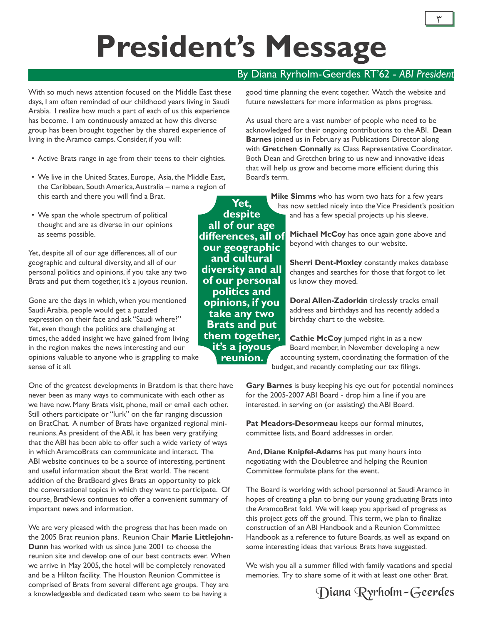## **President's Message**

With so much news attention focused on the Middle East these days, I am often reminded of our childhood years living in Saudi Arabia. I realize how much a part of each of us this experience has become. I am continuously amazed at how this diverse group has been brought together by the shared experience of living in the Aramco camps. Consider, if you will:

- Active Brats range in age from their teens to their eighties.
- We live in the United States, Europe, Asia, the Middle East, the Caribbean, South America, Australia – name a region of this earth and there you will find a Brat.
- We span the whole spectrum of political thought and are as diverse in our opinions as seems possible.

Yet, despite all of our age differences, all of our geographic and cultural diversity, and all of our personal politics and opinions, if you take any two Brats and put them together, it's a joyous reunion.

Gone are the days in which, when you mentioned Saudi Arabia, people would get a puzzled expression on their face and ask "Saudi where?" Yet, even though the politics are challenging at times, the added insight we have gained from living in the region makes the news interesting and our opinions valuable to anyone who is grappling to make sense of it all.

One of the greatest developments in Bratdom is that there have never been as many ways to communicate with each other as we have now. Many Brats visit, phone, mail or email each other. Still others participate or "lurk" on the far ranging discussion on BratChat. A number of Brats have organized regional minireunions. As president of the ABI, it has been very gratifying that the ABI has been able to offer such a wide variety of ways in which AramcoBrats can communicate and interact. The ABI website continues to be a source of interesting, pertinent and useful information about the Brat world. The recent addition of the BratBoard gives Brats an opportunity to pick the conversational topics in which they want to participate. Of course, BratNews continues to offer a convenient summary of important news and information.

We are very pleased with the progress that has been made on the 2005 Brat reunion plans. Reunion Chair **Marie Littlejohn-Dunn** has worked with us since June 2001 to choose the reunion site and develop one of our best contracts ever. When we arrive in May 2005, the hotel will be completely renovated and be a Hilton facility. The Houston Reunion Committee is comprised of Brats from several different age groups. They are a knowledgeable and dedicated team who seem to be having a

#### By Diana Ryrholm-Geerdes RT'62 - *ABI President*

good time planning the event together. Watch the website and future newsletters for more information as plans progress.

As usual there are a vast number of people who need to be acknowledged for their ongoing contributions to the ABI. **Dean Barnes** joined us in February as Publications Director along with **Gretchen Connally** as Class Representative Coordinator. Both Dean and Gretchen bring to us new and innovative ideas that will help us grow and become more efficient during this Board's term.

> **Mike Simms** who has worn two hats for a few years has now settled nicely into the Vice President's position and has a few special projects up his sleeve.

> > **Michael McCoy** has once again gone above and beyond with changes to our website.

**Sherri Dent-Moxley** constantly makes database changes and searches for those that forgot to let us know they moved.

**Doral Allen-Zadorkin** tirelessly tracks email address and birthdays and has recently added a birthday chart to the website.

**Cathie McCoy** jumped right in as a new Board member, in November developing a new accounting system, coordinating the formation of the budget, and recently completing our tax filings.

**Gary Barnes** is busy keeping his eye out for potential nominees for the 2005-2007 ABI Board - drop him a line if you are interested. in serving on (or assisting) the ABI Board.

**Pat Meadors-Desormeau** keeps our formal minutes, committee lists, and Board addresses in order.

 And, **Diane Knipfel-Adams** has put many hours into negotiating with the Doubletree and helping the Reunion Committee formulate plans for the event.

The Board is working with school personnel at Saudi Aramco in hopes of creating a plan to bring our young graduating Brats into the AramcoBrat fold. We will keep you apprised of progress as this project gets off the ground. This term, we plan to finalize construction of an ABI Handbook and a Reunion Committee Handbook as a reference to future Boards, as well as expand on some interesting ideas that various Brats have suggested.

We wish you all a summer filled with family vacations and special memories. Try to share some of it with at least one other Brat.



**Yet, despite all of our age differences, all of our geographic and cultural diversity and all of our personal politics and opinions, if you take any two Brats and put them together, it's a joyous reunion.**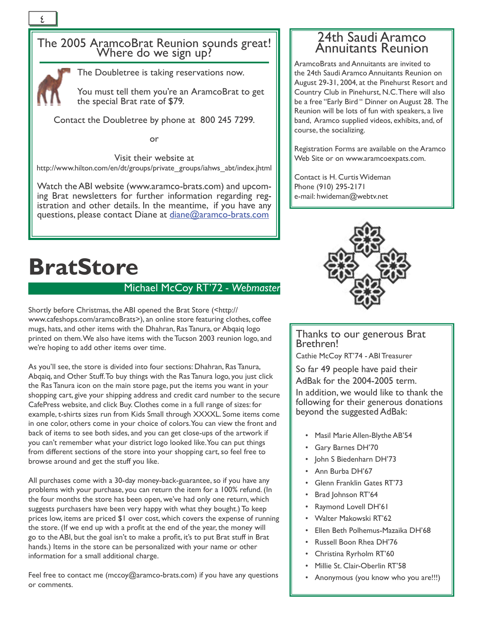## The 2005 AramcoBrat Reunion sounds great! Where do we sign up?



The Doubletree is taking reservations now.

You must tell them you're an AramcoBrat to get the special Brat rate of \$79.

Contact the Doubletree by phone at 800 245 7299.

or

Visit their website at http://www.hilton.com/en/dt/groups/private\_groups/iahws\_abt/index.jhtml

Watch the ABI website (www.aramco-brats.com) and upcoming Brat newsletters for further information regarding registration and other details. In the meantime, if you have any questions, please contact Diane at diane@aramco-brats.com

#### 24th Saudi Aramco Annuitants Reunion

AramcoBrats and Annuitants are invited to the 24th Saudi Aramco Annuitants Reunion on August 29-31, 2004, at the Pinehurst Resort and Country Club in Pinehurst, N.C. There will also be a free "Early Bird " Dinner on August 28. The Reunion will be lots of fun with speakers, a live band, Aramco supplied videos, exhibits, and, of course, the socializing.

Registration Forms are available on the Aramco Web Site or on www.aramcoexpats.com.

Contact is H. Curtis Wideman Phone (910) 295-2171 e-mail: hwideman@webtv.net

## **BratStore**

#### Michael McCoy RT'72 *- Webmaster*

Shortly before Christmas, the ABI opened the Brat Store (<http:// www.cafeshops.com/aramcoBrats>), an online store featuring clothes, coffee mugs, hats, and other items with the Dhahran, Ras Tanura, or Abqaiq logo printed on them. We also have items with the Tucson 2003 reunion logo, and we're hoping to add other items over time.

As you'll see, the store is divided into four sections: Dhahran, Ras Tanura, Abqaiq, and Other Stuff. To buy things with the Ras Tanura logo, you just click the Ras Tanura icon on the main store page, put the items you want in your shopping cart, give your shipping address and credit card number to the secure CafePress website, and click Buy. Clothes come in a full range of sizes: for example, t-shirts sizes run from Kids Small through XXXXL. Some items come in one color, others come in your choice of colors. You can view the front and back of items to see both sides, and you can get close-ups of the artwork if you can't remember what your district logo looked like. You can put things from different sections of the store into your shopping cart, so feel free to browse around and get the stuff you like.

All purchases come with a 30-day money-back-guarantee, so if you have any problems with your purchase, you can return the item for a 100% refund. (In the four months the store has been open, we've had only one return, which suggests purchasers have been very happy with what they bought.) To keep prices low, items are priced \$1 over cost, which covers the expense of running the store. (If we end up with a profit at the end of the year, the money will go to the ABI, but the goal isn't to make a profit, it's to put Brat stuff in Brat hands.) Items in the store can be personalized with your name or other information for a small additional charge.

Feel free to contact me (mccoy@aramco-brats.com) if you have any questions or comments.



#### Thanks to our generous Brat Brethren!

Cathie McCoy RT'74 - ABI Treasurer

So far 49 people have paid their AdBak for the 2004-2005 term.

In addition, we would like to thank the following for their generous donations beyond the suggested AdBak:

- Masil Marie Allen-Blythe AB'54
- Gary Barnes DH'70
- John S Biedenharn DH'73
- Ann Burba DH'67
- Glenn Franklin Gates RT'73
- Brad Johnson RT'64
- Raymond Lovell DH'61
- Walter Makowski RT'62
- Ellen Beth Polhemus-Mazaika DH'68
- Russell Boon Rhea DH'76
- Christina Ryrholm RT'60
- Millie St. Clair-Oberlin RT'58
- Anonymous (you know who you are!!!)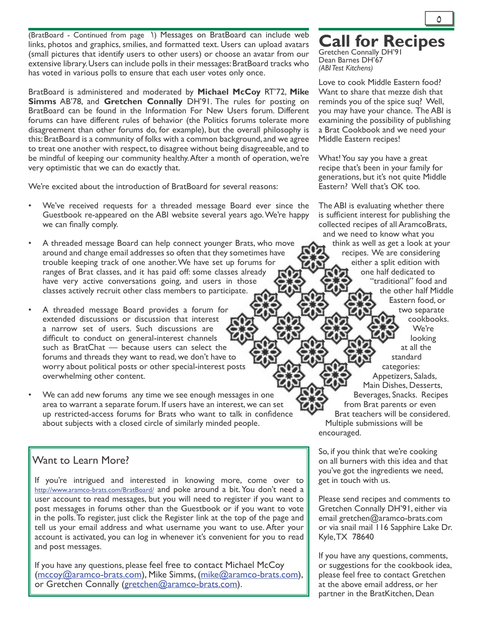(BratBoard - Continued from page 1) Messages on BratBoard can include web links, photos and graphics, smilies, and formatted text. Users can upload avatars (small pictures that identify users to other users) or choose an avatar from our extensive library. Users can include polls in their messages: BratBoard tracks who has voted in various polls to ensure that each user votes only once.

BratBoard is administered and moderated by **Michael McCoy** RT'72, **Mike Simms** AB'78, and **Gretchen Connally** DH'91. The rules for posting on BratBoard can be found in the Information For New Users forum. Different forums can have different rules of behavior (the Politics forums tolerate more disagreement than other forums do, for example), but the overall philosophy is this: BratBoard is a community of folks with a common background, and we agree to treat one another with respect, to disagree without being disagreeable, and to be mindful of keeping our community healthy. After a month of operation, we're very optimistic that we can do exactly that.

We're excited about the introduction of BratBoard for several reasons:

- We've received requests for a threaded message Board ever since the Guestbook re-appeared on the ABI website several years ago. We're happy we can finally comply.
- A threaded message Board can help connect younger Brats, who move around and change email addresses so often that they sometimes have trouble keeping track of one another. We have set up forums for ranges of Brat classes, and it has paid off: some classes already have very active conversations going, and users in those classes actively recruit other class members to participate.
- A threaded message Board provides a forum for extended discussions or discussion that interest a narrow set of users. Such discussions are difficult to conduct on general-interest channels such as BratChat — because users can select the forums and threads they want to read, we don't have to worry about political posts or other special-interest posts overwhelming other content.
- We can add new forums any time we see enough messages in one area to warrant a separate forum. If users have an interest, we can set up restricted-access forums for Brats who want to talk in confidence about subjects with a closed circle of similarly minded people.

#### Want to Learn More?

If you're intrigued and interested in knowing more, come over to http://www.aramco-brats.com/BratBoard/ and poke around a bit. You don't need a user account to read messages, but you will need to register if you want to post messages in forums other than the Guestbook or if you want to vote in the polls. To register, just click the Register link at the top of the page and tell us your email address and what username you want to use. After your account is activated, you can log in whenever it's convenient for you to read and post messages.

If you have any questions, please feel free to contact Michael McCoy (mccoy@aramco-brats.com), Mike Simms, (mike@aramco-brats.com), or Gretchen Connally (gretchen@aramco-brats.com).

### **Call for Recipes**

Gretchen Connally DH'91 Dean Barnes DH'67 *(ABI Test Kitchens)*

Love to cook Middle Eastern food? Want to share that mezze dish that reminds you of the spice suq? Well, you may have your chance. The ABI is examining the possibility of publishing a Brat Cookbook and we need your Middle Eastern recipes!

What! You say you have a great recipe that's been in your family for generations, but it's not quite Middle Eastern? Well that's OK too.

The ABI is evaluating whether there is sufficient interest for publishing the collected recipes of all AramcoBrats, and we need to know what you think as well as get a look at your recipes. We are considering either a split edition with one half dedicated to "traditional" food and the other half Middle Eastern food, or two separate cookbooks. We're looking at all the standard categories: Appetizers, Salads, Main Dishes, Desserts, Beverages, Snacks. Recipes from Brat parents or even Brat teachers will be considered. Multiple submissions will be encouraged.

So, if you think that we're cooking on all burners with this idea and that you've got the ingredients we need, get in touch with us.

Please send recipes and comments to Gretchen Connally DH'91, either via email gretchen@aramco-brats.com or via snail mail 116 Sapphire Lake Dr. Kyle, TX 78640

If you have any questions, comments, or suggestions for the cookbook idea, please feel free to contact Gretchen at the above email address, or her partner in the BratKitchen, Dean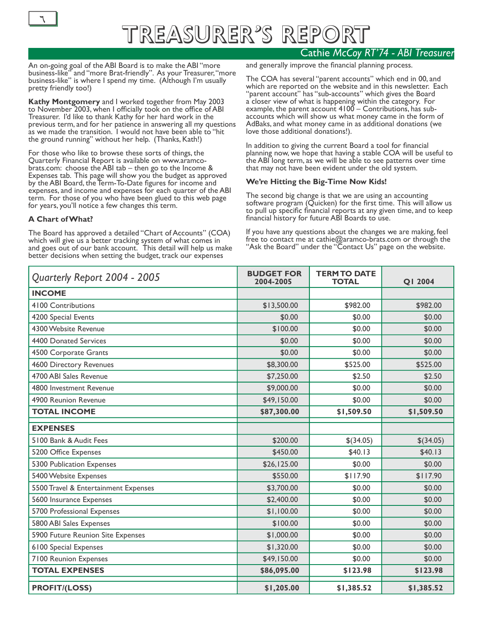

### Treasurer's Report  $\overline{1}$  and  $\overline{1}$  and  $\overline{1}$  and  $\overline{1}$  and  $\overline{1}$  and  $\overline{1}$  and  $\overline{1}$  and  $\overline{1}$  and  $\overline{1}$  and  $\overline{1}$  and  $\overline{1}$  and  $\overline{1}$  and  $\overline{1}$  and  $\overline{1}$  and  $\overline{1}$  and  $\overline{1}$  and  $\overline{1}$  and

#### Cathie *McCoy RT'74 - ABI Treasurer*

An on-going goal of the ABI Board is to make the ABI "more business-like" and "more Brat-friendly". As your Treasurer, "more business-like" is where I spend my time. (Although I'm usually pretty friendly too!)

**Kathy Montgomery** and I worked together from May 2003 to November 2003, when I officially took on the office of ABI Treasurer. I'd like to thank Kathy for her hard work in the previous term, and for her patience in answering all my questions as we made the transition. I would not have been able to "hit the ground running" without her help. (Thanks, Kath!)

For those who like to browse these sorts of things, the Quarterly Financial Report is available on www.aramcobrats.com: choose the ABI tab – then go to the Income & Expenses tab. This page will show you the budget as approved by the ABI Board, the Term-To-Date figures for income and expenses, and income and expenses for each quarter of the ABI term. For those of you who have been glued to this web page for years, you'll notice a few changes this term.

#### **A Chart of What?**

The Board has approved a detailed "Chart of Accounts" (COA) which will give us a better tracking system of what comes in and goes out of our bank account. This detail will help us make better decisions when setting the budget, track our expenses

and generally improve the financial planning process.

The COA has several "parent accounts" which end in 00, and which are reported on the website and in this newsletter. Each "parent account" has "sub-accounts" which gives the Board a closer view of what is happening within the category. For example, the parent account 4100 – Contributions, has subaccounts which will show us what money came in the form of AdBaks, and what money came in as additional donations (we love those additional donations!).

In addition to giving the current Board a tool for financial planning now, we hope that having a stable COA will be useful to the ABI long term, as we will be able to see patterns over time that may not have been evident under the old system.

#### **We're Hitting the Big-Time Now Kids!**

The second big change is that we are using an accounting software program (Quicken) for the first time. This will allow us to pull up specific financial reports at any given time, and to keep financial history for future ABI Boards to use.

If you have any questions about the changes we are making, feel free to contact me at cathie@aramco-brats.com or through the "Ask the Board" under the "Contact Us" page on the website.

| Quarterly Report 2004 - 2005         | <b>BUDGET FOR</b><br>2004-2005 | <b>TERM TO DATE</b><br><b>TOTAL</b> | Q1 2004     |
|--------------------------------------|--------------------------------|-------------------------------------|-------------|
| <b>INCOME</b>                        |                                |                                     |             |
| 4100 Contributions                   | \$13,500.00                    | \$982.00                            | \$982.00    |
| 4200 Special Events                  | \$0.00                         | \$0.00                              | \$0.00      |
| 4300 Website Revenue                 | \$100.00                       | \$0.00                              | \$0.00      |
| <b>4400 Donated Services</b>         | \$0.00                         | \$0.00                              | \$0.00      |
| 4500 Corporate Grants                | \$0.00                         | \$0.00                              | \$0.00      |
| 4600 Directory Revenues              | \$8,300.00                     | \$525.00                            | \$525.00    |
| 4700 ABI Sales Revenue               | \$7,250.00                     | \$2.50                              | \$2.50      |
| 4800 Investment Revenue              | \$9,000.00                     | \$0.00                              | \$0.00      |
| 4900 Reunion Revenue                 | \$49,150.00                    | \$0.00                              | \$0.00      |
| <b>TOTAL INCOME</b>                  | \$87,300.00                    | \$1,509.50                          | \$1,509.50  |
| <b>EXPENSES</b>                      |                                |                                     |             |
| 5100 Bank & Audit Fees               | \$200.00                       | $$$ (34.05)                         | $$$ (34.05) |
| 5200 Office Expenses                 | \$450.00                       | \$40.13                             | \$40.13     |
| 5300 Publication Expenses            | \$26,125.00                    | \$0.00                              | \$0.00      |
| 5400 Website Expenses                | \$550.00                       | \$117.90                            | \$117.90    |
| 5500 Travel & Entertainment Expenses | \$3,700.00                     | \$0.00                              | \$0.00      |
| 5600 Insurance Expenses              | \$2,400.00                     | \$0.00                              | \$0.00      |
| 5700 Professional Expenses           | \$1,100.00                     | \$0.00                              | \$0.00      |
| 5800 ABI Sales Expenses              | \$100.00                       | \$0.00                              | \$0.00      |
| 5900 Future Reunion Site Expenses    | \$1,000.00                     | \$0.00                              | \$0.00      |
| <b>6100 Special Expenses</b>         | \$1,320.00                     | \$0.00                              | \$0.00      |
| 7100 Reunion Expenses                | \$49,150.00                    | \$0.00                              | \$0.00      |
| <b>TOTAL EXPENSES</b>                | \$86,095.00                    | \$123.98                            | \$123.98    |
| <b>PROFIT/(LOSS)</b>                 | \$1,205.00                     | \$1,385.52                          | \$1,385.52  |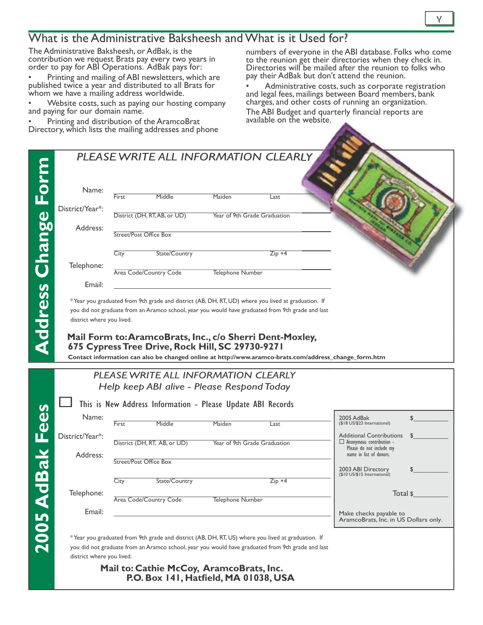#### What is the Administrative Baksheesh and What is it Used for?

The Administrative Baksheesh, or AdBak, is the contribution we request Brats pay every two years in order to pay for ABI Operations. AdBak pays for:

• Printing and mailing of ABI newsletters, which are published twice a year and distributed to all Brats for whom we have a mailing address worldwide.

• Website costs, such as paying our hosting company and paying for our domain name.

• Printing and distribution of the AramcoBrat Directory, which lists the mailing addresses and phone

numbers of everyone in the ABI database. Folks who come to the reunion get their directories when they check in. Directories will be mailed after the reunion to folks who pay their AdBak but don't attend the reunion.

• Administrative costs, such as corporate registration and legal fees, mailings between Board members, bank charges, and other costs of running an organization. The ABI Budget and quarterly financial reports are available on the website.

|                           | First                                                                                             | Middle                                                                                                                                                                                                | Maiden                  | Last                                                     |                                                                                                                           |          |
|---------------------------|---------------------------------------------------------------------------------------------------|-------------------------------------------------------------------------------------------------------------------------------------------------------------------------------------------------------|-------------------------|----------------------------------------------------------|---------------------------------------------------------------------------------------------------------------------------|----------|
| District/Year*:           |                                                                                                   | District (DH, RT, AB, or UD)                                                                                                                                                                          |                         | Year of 9th Grade Graduation                             |                                                                                                                           |          |
| Address:                  | Street/Post Office Box                                                                            |                                                                                                                                                                                                       |                         |                                                          |                                                                                                                           |          |
|                           | City                                                                                              | State/Country                                                                                                                                                                                         |                         | $Zip +4$                                                 |                                                                                                                           |          |
| Telephone:                |                                                                                                   | Area Code/Country Code                                                                                                                                                                                | <b>Telephone Number</b> |                                                          |                                                                                                                           |          |
| Email:                    |                                                                                                   |                                                                                                                                                                                                       |                         |                                                          |                                                                                                                           |          |
| district where you lived. | you did not graduate from an Aramco school, year you would have graduated from 9th grade and last |                                                                                                                                                                                                       |                         |                                                          |                                                                                                                           |          |
|                           |                                                                                                   | 675 Cypress Tree Drive, Rock Hill, SC 29730-9271<br>PLEASE WRITE ALL INFORMATION CLEARLY<br>Help keep ABI alive - Please Respond Today<br>This is New Address Information - Please Update ABI Records |                         | Mail Form to: AramcoBrats, Inc., c/o Sherri Dent-Moxley, | Contact information can also be changed online at http://www.aramco-brats.com/address_change_form.htm                     |          |
| Name:                     | First                                                                                             | Middle                                                                                                                                                                                                | Maiden                  | Last                                                     | 2005 AdBak<br>(\$18 US/\$23 International)                                                                                | \$       |
| District/Year*:           |                                                                                                   | District (DH, RT, AB, or UD)                                                                                                                                                                          |                         | Year of 9th Grade Graduation                             | <b>Additional Contributions</b><br>$\Box$ Anonymous contribution -<br>Please do not include my<br>name in list of donors. |          |
| Address:                  | Street/Post Office Box                                                                            |                                                                                                                                                                                                       |                         |                                                          | 2003 ABI Directory                                                                                                        |          |
|                           | City                                                                                              | State/Country                                                                                                                                                                                         |                         | $Zip +4$                                                 | (\$10 US/\$15 International)                                                                                              |          |
| Telephone:                |                                                                                                   | Area Code/Country Code                                                                                                                                                                                | <b>Telephone Number</b> |                                                          |                                                                                                                           | Total \$ |